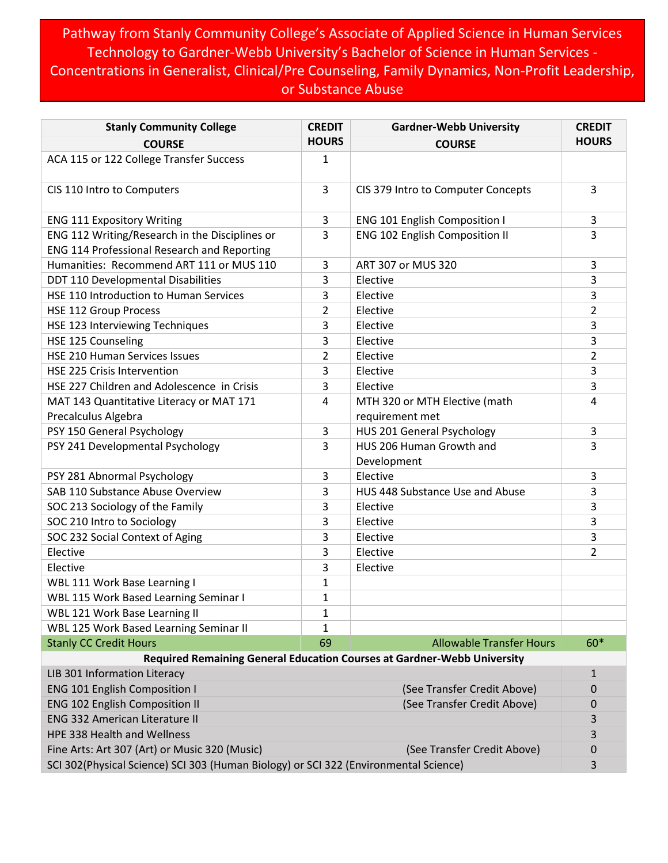## Pathway from Stanly Community College's Associate of Applied Science in Human Services Technology to Gardner-Webb University's Bachelor of Science in Human Services - Concentrations in Generalist, Clinical/Pre Counseling, Family Dynamics, Non-Profit Leadership, or Substance Abuse

| <b>Stanly Community College</b>                                                      | <b>CREDIT</b>  | <b>Gardner-Webb University</b>                                          | <b>CREDIT</b>  |
|--------------------------------------------------------------------------------------|----------------|-------------------------------------------------------------------------|----------------|
| <b>COURSE</b>                                                                        | <b>HOURS</b>   | <b>COURSE</b>                                                           | <b>HOURS</b>   |
| ACA 115 or 122 College Transfer Success                                              | $\mathbf{1}$   |                                                                         |                |
| CIS 110 Intro to Computers                                                           | 3              | CIS 379 Intro to Computer Concepts                                      | 3              |
| <b>ENG 111 Expository Writing</b>                                                    | 3              | ENG 101 English Composition I                                           | 3              |
| ENG 112 Writing/Research in the Disciplines or                                       | 3              | ENG 102 English Composition II                                          | 3              |
| <b>ENG 114 Professional Research and Reporting</b>                                   |                |                                                                         |                |
| Humanities: Recommend ART 111 or MUS 110                                             | 3              | ART 307 or MUS 320                                                      | 3              |
| DDT 110 Developmental Disabilities                                                   | 3              | Elective                                                                | 3              |
| HSE 110 Introduction to Human Services                                               | 3              | Elective                                                                | 3              |
| <b>HSE 112 Group Process</b>                                                         | $\overline{2}$ | Elective                                                                | $\overline{2}$ |
| HSE 123 Interviewing Techniques                                                      | 3              | Elective                                                                | 3              |
| HSE 125 Counseling                                                                   | 3              | Elective                                                                | 3              |
| HSE 210 Human Services Issues                                                        | $\overline{2}$ | Elective                                                                | $\overline{2}$ |
| <b>HSE 225 Crisis Intervention</b>                                                   | 3              | Elective                                                                | 3              |
| HSE 227 Children and Adolescence in Crisis                                           | 3              | Elective                                                                | 3              |
| MAT 143 Quantitative Literacy or MAT 171                                             | 4              | MTH 320 or MTH Elective (math                                           | 4              |
| Precalculus Algebra                                                                  |                | requirement met                                                         |                |
| PSY 150 General Psychology                                                           | 3              | HUS 201 General Psychology                                              | 3              |
| PSY 241 Developmental Psychology                                                     | $\overline{3}$ | HUS 206 Human Growth and<br>Development                                 | 3              |
| PSY 281 Abnormal Psychology                                                          | 3              | Elective                                                                | 3              |
| SAB 110 Substance Abuse Overview                                                     | 3              | HUS 448 Substance Use and Abuse                                         | 3              |
| SOC 213 Sociology of the Family                                                      | 3              | Elective                                                                | 3              |
| SOC 210 Intro to Sociology                                                           | 3              | Elective                                                                | 3              |
| SOC 232 Social Context of Aging                                                      | 3              | Elective                                                                | 3              |
| Elective                                                                             | 3              | Elective                                                                | $\overline{2}$ |
| Elective                                                                             | 3              | Elective                                                                |                |
| WBL 111 Work Base Learning I                                                         | $\mathbf{1}$   |                                                                         |                |
| <b>WBL 115 Work Based Learning Seminar I</b>                                         | $\mathbf{1}$   |                                                                         |                |
| WBL 121 Work Base Learning II                                                        | 1              |                                                                         |                |
| WBL 125 Work Based Learning Seminar II                                               | 1              |                                                                         |                |
| <b>Stanly CC Credit Hours</b>                                                        | 69             | <b>Allowable Transfer Hours</b>                                         | 60*            |
|                                                                                      |                | Required Remaining General Education Courses at Gardner-Webb University |                |
| LIB 301 Information Literacy                                                         |                |                                                                         | 1              |
| <b>ENG 101 English Composition I</b>                                                 |                | (See Transfer Credit Above)                                             | 0              |
| <b>ENG 102 English Composition II</b><br>(See Transfer Credit Above)                 |                |                                                                         | 0              |
| <b>ENG 332 American Literature II</b>                                                |                |                                                                         | 3              |
| HPE 338 Health and Wellness                                                          |                |                                                                         | 3              |
| Fine Arts: Art 307 (Art) or Music 320 (Music)                                        |                | (See Transfer Credit Above)                                             | 0              |
| SCI 302(Physical Science) SCI 303 (Human Biology) or SCI 322 (Environmental Science) |                |                                                                         |                |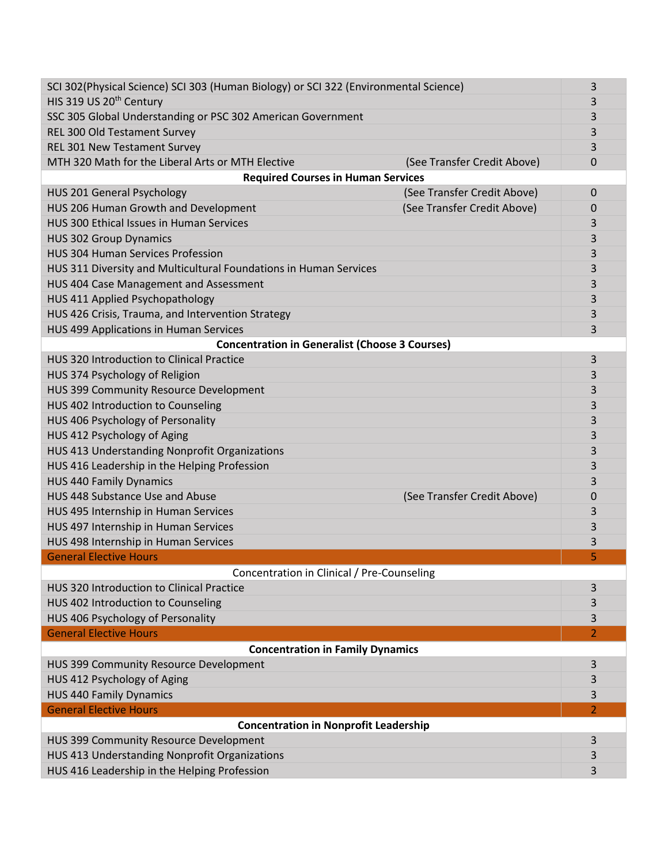| SCI 302(Physical Science) SCI 303 (Human Biology) or SCI 322 (Environmental Science) |                                            | 3 |  |  |
|--------------------------------------------------------------------------------------|--------------------------------------------|---|--|--|
| HIS 319 US 20 <sup>th</sup> Century                                                  |                                            | 3 |  |  |
| SSC 305 Global Understanding or PSC 302 American Government                          | 3                                          |   |  |  |
| REL 300 Old Testament Survey                                                         | 3                                          |   |  |  |
| REL 301 New Testament Survey                                                         | 3                                          |   |  |  |
| MTH 320 Math for the Liberal Arts or MTH Elective                                    | (See Transfer Credit Above)<br>$\mathbf 0$ |   |  |  |
| <b>Required Courses in Human Services</b>                                            |                                            |   |  |  |
| HUS 201 General Psychology                                                           | (See Transfer Credit Above)<br>$\Omega$    |   |  |  |
| HUS 206 Human Growth and Development                                                 | (See Transfer Credit Above)<br>$\mathbf 0$ |   |  |  |
| HUS 300 Ethical Issues in Human Services                                             | 3                                          |   |  |  |
| <b>HUS 302 Group Dynamics</b>                                                        | 3                                          |   |  |  |
| <b>HUS 304 Human Services Profession</b>                                             | 3                                          |   |  |  |
| HUS 311 Diversity and Multicultural Foundations in Human Services                    | 3                                          |   |  |  |
| HUS 404 Case Management and Assessment                                               | 3                                          |   |  |  |
| HUS 411 Applied Psychopathology                                                      | 3                                          |   |  |  |
| HUS 426 Crisis, Trauma, and Intervention Strategy                                    | 3                                          |   |  |  |
| HUS 499 Applications in Human Services                                               | 3                                          |   |  |  |
| <b>Concentration in Generalist (Choose 3 Courses)</b>                                |                                            |   |  |  |
| HUS 320 Introduction to Clinical Practice                                            | 3                                          |   |  |  |
| HUS 374 Psychology of Religion                                                       | 3                                          |   |  |  |
| HUS 399 Community Resource Development                                               | 3                                          |   |  |  |
| HUS 402 Introduction to Counseling                                                   |                                            | 3 |  |  |
| HUS 406 Psychology of Personality                                                    |                                            | 3 |  |  |
| HUS 412 Psychology of Aging                                                          |                                            |   |  |  |
| HUS 413 Understanding Nonprofit Organizations                                        |                                            |   |  |  |
| HUS 416 Leadership in the Helping Profession                                         |                                            |   |  |  |
| <b>HUS 440 Family Dynamics</b>                                                       | 3<br>3                                     |   |  |  |
| HUS 448 Substance Use and Abuse                                                      | (See Transfer Credit Above)<br>$\mathbf 0$ |   |  |  |
| HUS 495 Internship in Human Services                                                 | 3                                          |   |  |  |
| HUS 497 Internship in Human Services                                                 | 3                                          |   |  |  |
| HUS 498 Internship in Human Services                                                 | 3                                          |   |  |  |
| <b>General Elective Hours</b>                                                        | 5                                          |   |  |  |
| Concentration in Clinical / Pre-Counseling                                           |                                            |   |  |  |
| HUS 320 Introduction to Clinical Practice                                            | 3                                          |   |  |  |
| HUS 402 Introduction to Counseling                                                   | 3                                          |   |  |  |
| HUS 406 Psychology of Personality                                                    | 3                                          |   |  |  |
| <b>General Elective Hours</b>                                                        | $\overline{2}$                             |   |  |  |
| <b>Concentration in Family Dynamics</b>                                              |                                            |   |  |  |
| HUS 399 Community Resource Development                                               | 3                                          |   |  |  |
| HUS 412 Psychology of Aging                                                          | 3                                          |   |  |  |
| <b>HUS 440 Family Dynamics</b>                                                       | 3                                          |   |  |  |
| <b>General Elective Hours</b>                                                        | $\overline{2}$                             |   |  |  |
| <b>Concentration in Nonprofit Leadership</b>                                         |                                            |   |  |  |
| HUS 399 Community Resource Development                                               | 3                                          |   |  |  |
| HUS 413 Understanding Nonprofit Organizations                                        | 3                                          |   |  |  |
| HUS 416 Leadership in the Helping Profession                                         | 3                                          |   |  |  |
|                                                                                      |                                            |   |  |  |